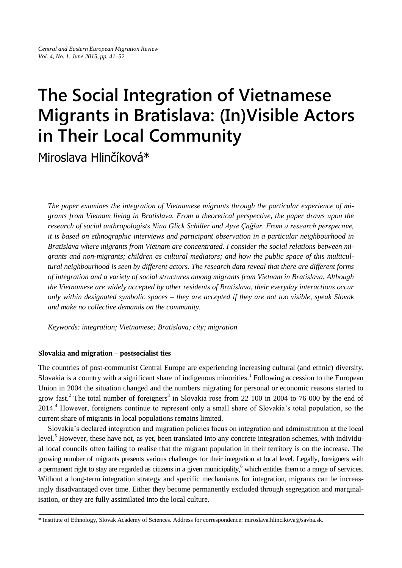# **The Social Integration of Vietnamese Migrants in Bratislava: (In)Visible Actors in Their Local Community**

Miroslava Hlinčíková\*

*The paper examines the integration of Vietnamese migrants through the particular experience of migrants from Vietnam living in Bratislava. From a theoretical perspective, the paper draws upon the research of social anthropologists Nina Glick Schiller and Ayse Çağlar. From a research perspective, it is based on ethnographic interviews and participant observation in a particular neighbourhood in Bratislava where migrants from Vietnam are concentrated. I consider the social relations between migrants and non-migrants; children as cultural mediators; and how the public space of this multicultural neighbourhood is seen by different actors. The research data reveal that there are different forms of integration and a variety of social structures among migrants from Vietnam in Bratislava. Although the Vietnamese are widely accepted by other residents of Bratislava, their everyday interactions occur only within designated symbolic spaces – they are accepted if they are not too visible, speak Slovak and make no collective demands on the community.*

*Keywords: integration; Vietnamese; Bratislava; city; migration*

## **Slovakia and migration – postsocialist ties**

The countries of post-communist Central Europe are experiencing increasing cultural (and ethnic) diversity. Slovakia is a country with a significant share of indigenous minorities.<sup>1</sup> Following accession to the European Union in 2004 the situation changed and the numbers migrating for personal or economic reasons started to grow fast.<sup>2</sup> The total number of foreigners<sup>3</sup> in Slovakia rose from 22 100 in 2004 to 76 000 by the end of 2014.<sup>4</sup> However, foreigners continue to represent only a small share of Slovakia's total population, so the current share of migrants in local populations remains limited.

Slovakia's declared integration and migration policies focus on integration and administration at the local level.<sup>5</sup> However, these have not, as yet, been translated into any concrete integration schemes, with individual local councils often failing to realise that the migrant population in their territory is on the increase. The growing number of migrants presents various challenges for their integration at local level. Legally, foreigners with a permanent right to stay are regarded as citizens in a given municipality,<sup>6</sup> which entitles them to a range of services. Without a long-term integration strategy and specific mechanisms for integration, migrants can be increasingly disadvantaged over time. Either they become permanently excluded through segregation and marginalisation, or they are fully assimilated into the local culture.

<sup>\*</sup> Institute of Ethnology, Slovak Academy of Sciences. Address for correspondence: miroslava.hlincikova@savba.sk.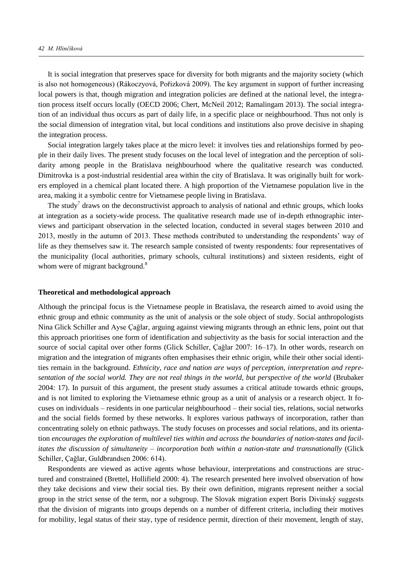It is social integration that preserves space for diversity for both migrants and the majority society (which is also not homogeneous) (Rákoczyová, Pořizková 2009). The key argument in support of further increasing local powers is that, though migration and integration policies are defined at the national level, the integration process itself occurs locally (OECD 2006; Chert, McNeil 2012; Ramalingam 2013). The social integration of an individual thus occurs as part of daily life, in a specific place or neighbourhood. Thus not only is the social dimension of integration vital, but local conditions and institutions also prove decisive in shaping the integration process.

Social integration largely takes place at the micro level: it involves ties and relationships formed by people in their daily lives. The present study focuses on the local level of integration and the perception of solidarity among people in the Bratislava neighbourhood where the qualitative research was conducted. Dimitrovka is a post-industrial residential area within the city of Bratislava. It was originally built for workers employed in a chemical plant located there. A high proportion of the Vietnamese population live in the area, making it a symbolic centre for Vietnamese people living in Bratislava.

The study<sup>7</sup> draws on the deconstructivist approach to analysis of national and ethnic groups, which looks at integration as a society-wide process. The qualitative research made use of in-depth ethnographic interviews and participant observation in the selected location, conducted in several stages between 2010 and 2013, mostly in the autumn of 2013. These methods contributed to understanding the respondents' way of life as they themselves saw it. The research sample consisted of twenty respondents: four representatives of the municipality (local authorities, primary schools, cultural institutions) and sixteen residents, eight of whom were of migrant background.<sup>8</sup>

#### **Theoretical and methodological approach**

Although the principal focus is the Vietnamese people in Bratislava, the research aimed to avoid using the ethnic group and ethnic community as the unit of analysis or the sole object of study. Social anthropologists Nina Glick Schiller and Ayse Çağlar, arguing against viewing migrants through an ethnic lens, point out that this approach prioritises one form of identification and subjectivity as the basis for social interaction and the source of social capital over other forms (Glick Schiller, Çağlar 2007: 16–17). In other words, research on migration and the integration of migrants often emphasises their ethnic origin, while their other social identities remain in the background. *Ethnicity, race and nation are ways of perception, interpretation and representation of the social world. They are not real things in the world, but perspective of the world* (Brubaker 2004: 17). In pursuit of this argument, the present study assumes a critical attitude towards ethnic groups, and is not limited to exploring the Vietnamese ethnic group as a unit of analysis or a research object. It focuses on individuals – residents in one particular neighbourhood – their social ties, relations, social networks and the social fields formed by these networks. It explores various pathways of incorporation, rather than concentrating solely on ethnic pathways. The study focuses on processes and social relations, and its orientation *encourages the exploration of multilevel ties within and across the boundaries of nation-states and facilitates the discussion of simultaneity – incorporation both within a nation-state and transnationally* (Glick Schiller, Çağlar, Guldbrandsen 2006: 614).

Respondents are viewed as active agents whose behaviour, interpretations and constructions are structured and constrained (Brettel, Hollifield 2000: 4). The research presented here involved observation of how they take decisions and view their social ties. By their own definition, migrants represent neither a social group in the strict sense of the term, nor a subgroup. The Slovak migration expert Boris Divinský suggests that the division of migrants into groups depends on a number of different criteria, including their motives for mobility, legal status of their stay, type of residence permit, direction of their movement, length of stay,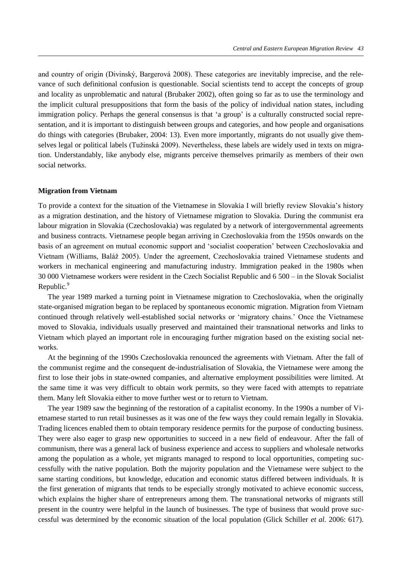and country of origin (Divinský, Bargerová 2008). These categories are inevitably imprecise, and the relevance of such definitional confusion is questionable. Social scientists tend to accept the concepts of group and locality as unproblematic and natural (Brubaker 2002), often going so far as to use the terminology and the implicit cultural presuppositions that form the basis of the policy of individual nation states, including immigration policy. Perhaps the general consensus is that 'a group' is a culturally constructed social representation, and it is important to distinguish between groups and categories, and how people and organisations do things with categories (Brubaker, 2004: 13). Even more importantly, migrants do not usually give themselves legal or political labels (Tužinská 2009). Nevertheless, these labels are widely used in texts on migration. Understandably, like anybody else, migrants perceive themselves primarily as members of their own social networks.

#### **Migration from Vietnam**

To provide a context for the situation of the Vietnamese in Slovakia I will briefly review Slovakia's history as a migration destination, and the history of Vietnamese migration to Slovakia. During the communist era labour migration in Slovakia (Czechoslovakia) was regulated by a network of intergovernmental agreements and business contracts. Vietnamese people began arriving in Czechoslovakia from the 1950s onwards on the basis of an agreement on mutual economic support and 'socialist cooperation' between Czechoslovakia and Vietnam (Williams, Baláž 2005). Under the agreement, Czechoslovakia trained Vietnamese students and workers in mechanical engineering and manufacturing industry. Immigration peaked in the 1980s when 30 000 Vietnamese workers were resident in the Czech Socialist Republic and 6 500 – in the Slovak Socialist Republic.<sup>9</sup>

The year 1989 marked a turning point in Vietnamese migration to Czechoslovakia, when the originally state-organised migration began to be replaced by spontaneous economic migration. Migration from Vietnam continued through relatively well-established social networks or 'migratory chains.' Once the Vietnamese moved to Slovakia, individuals usually preserved and maintained their transnational networks and links to Vietnam which played an important role in encouraging further migration based on the existing social networks.

At the beginning of the 1990s Czechoslovakia renounced the agreements with Vietnam. After the fall of the communist regime and the consequent de-industrialisation of Slovakia, the Vietnamese were among the first to lose their jobs in state-owned companies, and alternative employment possibilities were limited. At the same time it was very difficult to obtain work permits, so they were faced with attempts to repatriate them. Many left Slovakia either to move further west or to return to Vietnam.

The year 1989 saw the beginning of the restoration of a capitalist economy. In the 1990s a number of Vietnamese started to run retail businesses as it was one of the few ways they could remain legally in Slovakia. Trading licences enabled them to obtain temporary residence permits for the purpose of conducting business. They were also eager to grasp new opportunities to succeed in a new field of endeavour. After the fall of communism, there was a general lack of business experience and access to suppliers and wholesale networks among the population as a whole, yet migrants managed to respond to local opportunities, competing successfully with the native population. Both the majority population and the Vietnamese were subject to the same starting conditions, but knowledge, education and economic status differed between individuals. It is the first generation of migrants that tends to be especially strongly motivated to achieve economic success, which explains the higher share of entrepreneurs among them. The transnational networks of migrants still present in the country were helpful in the launch of businesses. The type of business that would prove successful was determined by the economic situation of the local population (Glick Schiller *et al.* 2006: 617).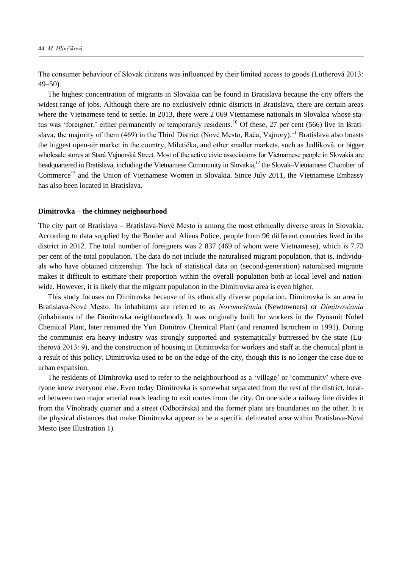he consumer behaviour of Slovak citizens was influenced by their limited access to goods (Lutherová 2013: 49–50).

The highest concentration of migrants in Slovakia can be found in Bratislava because the city offers the widest range of jobs. Although there are no exclusively ethnic districts in Bratislava, there are certain areas where the Vietnamese tend to settle. In 2013, there were 2 069 Vietnamese nationals in Slovakia whose status was 'foreigner,' either permanently or temporarily residents.<sup>10</sup> Of these, 27 per cent (566) live in Bratislava, the majority of them (469) in the Third District (Nové Mesto, Rača, Vainory).<sup>11</sup> Bratislava also boasts the biggest open-air market in the country, Miletička*,* and other smaller markets, such as Jedlíková, or bigger wholesale stores at Stará Vajnorská Street. Most of the active civic associations for Vietnamese people in Slovakia are headquartered in Bratislava, including the Vietnamese Community in Slovakia,<sup>12</sup> the Slovak–Vietnamese Chamber of Commerce<sup>13</sup> and the Union of Vietnamese Women in Slovakia. Since July 2011, the Vietnamese Embassy has also been located in Bratislava.

#### **Dimitrovka – the chimney neighourhood**

The city part of Bratislava – Bratislava-Nové Mesto is among the most ethnically diverse areas in Slovakia. According to data supplied by the Border and Aliens Police, people from 96 different countries lived in the district in 2012. The total number of foreigners was 2 837 (469 of whom were Vietnamese), which is 7.73 per cent of the total population. The data do not include the naturalised migrant population, that is, individuals who have obtained citizenship. The lack of statistical data on (second-generation) naturalised migrants makes it difficult to estimate their proportion within the overall population both at local level and nationwide. However, it is likely that the migrant population in the Dimitrovka area is even higher.

This study focuses on Dimitrovka because of its ethnically diverse population. Dimitrovka is an area in Bratislava-Nové Mesto. ts inhabitants are referred to as *Novomešťania* (Newtowners) or *Dimitrovčania* (inhabitants of the Dimitrovka neighbourhood). It was originally built for workers in the Dynamit Nobel Chemical Plant, later renamed the Yuri Dimitrov Chemical Plant (and renamed Istrochem in 1991). During the communist era heavy industry was strongly supported and systematically buttressed by the state (Lutherová 2013: 9), and the construction of housing in Dimitrovka for workers and staff at the chemical plant is a result of this policy. Dimitrovka used to be on the edge of the city, though this is no longer the case due to urban expansion.

The residents of Dimitrovka used to refer to the neighbourhood as a 'village' or 'community' where everyone knew everyone else. Even today Dimitrovka is somewhat separated from the rest of the district, located between two major arterial roads leading to exit routes from the city. On one side a railway line divides it from the Vinohrady quarter and a street (Odborárska) and the former plant are boundaries on the other. It is the physical distances that make Dimitrovka appear to be a specific delineated area within Bratislava-Nové Mesto (see Illustration 1).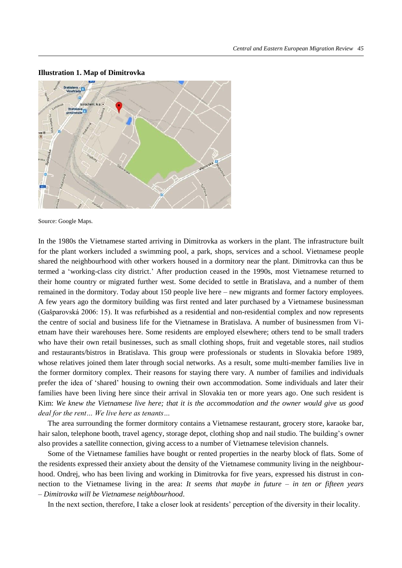

**Illustration 1. Map of Dimitrovka**

Source: Google Maps.

In the 1980s the Vietnamese started arriving in Dimitrovka as workers in the plant. The infrastructure built for the plant workers included a swimming pool, a park, shops, services and a school. Vietnamese people shared the neighbourhood with other workers housed in a dormitory near the plant. Dimitrovka can thus be termed a 'working-class city district.' After production ceased in the 1990s, most Vietnamese returned to their home country or migrated further west. Some decided to settle in Bratislava, and a number of them remained in the dormitory. Today about 150 people live here – new migrants and former factory employees. A few years ago the dormitory building was first rented and later purchased by a Vietnamese businessman (Gašparovská 2006: 15). t was refurbished as a residential and non-residential complex and now represents the centre of social and business life for the Vietnamese in Bratislava. A number of businessmen from Vietnam have their warehouses here. Some residents are employed elsewhere; others tend to be small traders who have their own retail businesses, such as small clothing shops, fruit and vegetable stores, nail studios and restaurants/bistros in Bratislava. This group were professionals or students in Slovakia before 1989, whose relatives joined them later through social networks. As a result, some multi-member families live in the former dormitory complex. Their reasons for staying there vary. A number of families and individuals prefer the idea of 'shared' housing to owning their own accommodation. Some individuals and later their families have been living here since their arrival in Slovakia ten or more years ago. One such resident is Kim: *We knew the Vietnamese live here; that it is the accommodation and the owner would give us good deal for the rent… We live here as tenants…*

The area surrounding the former dormitory contains a Vietnamese restaurant, grocery store, karaoke bar, hair salon, telephone booth, travel agency, storage depot, clothing shop and nail studio. The building's owner also provides a satellite connection, giving access to a number of Vietnamese television channels.

Some of the Vietnamese families have bought or rented properties in the nearby block of flats. Some of the residents expressed their anxiety about the density of the Vietnamese community living in the neighbourhood. Ondrej, who has been living and working in Dimitrovka for five years, expressed his distrust in connection to the Vietnamese living in the area: *It seems that maybe in future – in ten or fifteen years – Dimitrovka will be Vietnamese neighbourhood*.

In the next section, therefore, I take a closer look at residents' perception of the diversity in their locality.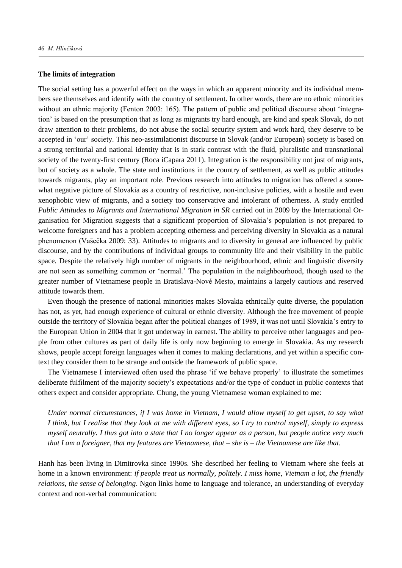### **The limits of integration**

The social setting has a powerful effect on the ways in which an apparent minority and its individual members see themselves and identify with the country of settlement. In other words, there are no ethnic minorities without an ethnic majority (Fenton 2003: 165). The pattern of public and political discourse about 'integration' is based on the presumption that as long as migrants try hard enough, are kind and speak Slovak, do not draw attention to their problems, do not abuse the social security system and work hard, they deserve to be accepted in 'our' society. This neo-assimilationist discourse in Slovak (and/or European) society is based on a strong territorial and national identity that is in stark contrast with the fluid, pluralistic and transnational society of the twenty-first century (Roca iCapara 2011). Integration is the responsibility not just of migrants, but of society as a whole. The state and institutions in the country of settlement, as well as public attitudes towards migrants, play an important role. Previous research into attitudes to migration has offered a somewhat negative picture of Slovakia as a country of restrictive, non-inclusive policies, with a hostile and even xenophobic view of migrants, and a society too conservative and intolerant of otherness. A study entitled *Public Attitudes to Migrants and International Migration in SR* carried out in 2009 by the International Organisation for Migration suggests that a significant proportion of Slovakia's population is not prepared to welcome foreigners and has a problem accepting otherness and perceiving diversity in Slovakia as a natural phenomenon (Vašečka 2009: 33). Attitudes to migrants and to diversity in general are influenced by public discourse, and by the contributions of individual groups to community life and their visibility in the public space. Despite the relatively high number of migrants in the neighbourhood, ethnic and linguistic diversity are not seen as something common or 'normal.' The population in the neighbourhood, though used to the greater number of Vietnamese people in Bratislava-Nové Mesto, maintains a largely cautious and reserved attitude towards them.

Even though the presence of national minorities makes Slovakia ethnically quite diverse, the population has not, as yet, had enough experience of cultural or ethnic diversity. Although the free movement of people outside the territory of Slovakia began after the political changes of 1989, it was not until Slovakia's entry to the European Union in 2004 that it got underway in earnest. The ability to perceive other languages and people from other cultures as part of daily life is only now beginning to emerge in Slovakia. As my research shows, people accept foreign languages when it comes to making declarations, and yet within a specific context they consider them to be strange and outside the framework of public space.

The Vietnamese I interviewed often used the phrase 'if we behave properly' to illustrate the sometimes deliberate fulfilment of the majority society's expectations and/or the type of conduct in public contexts that others expect and consider appropriate. Chung, the young Vietnamese woman explained to me:

*Under normal circumstances, if I was home in Vietnam, I would allow myself to get upset, to say what I think, but I realise that they look at me with different eyes, so I try to control myself, simply to express myself neutrally. I thus got into a state that I no longer appear as a person, but people notice very much that I am a foreigner, that my features are Vietnamese, that – she is – the Vietnamese are like that.* 

Hanh has been living in Dimitrovka since 1990s. She described her feeling to Vietnam where she feels at home in a known environment: *if people treat us normally, politely. I miss home, Vietnam a lot, the friendly relations, the sense of belonging*. Ngon links home to language and tolerance, an understanding of everyday context and non-verbal communication: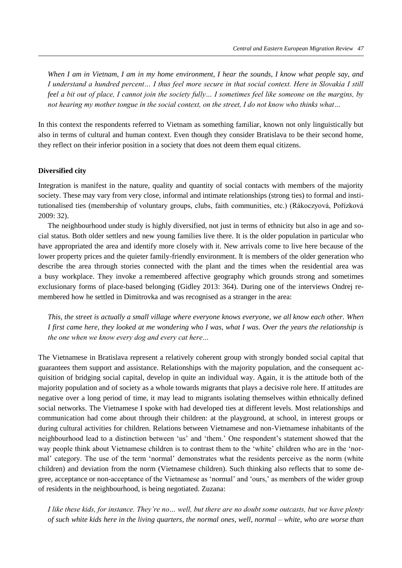*When I am in Vietnam, I am in my home environment, I hear the sounds, I know what people say, and I understand a hundred percent… I thus feel more secure in that social context. Here in Slovakia I still feel a bit out of place, I cannot join the society fully… I sometimes feel like someone on the margins, by not hearing my mother tongue in the social context, on the street, I do not know who thinks what…* 

In this context the respondents referred to Vietnam as something familiar, known not only linguistically but also in terms of cultural and human context. Even though they consider Bratislava to be their second home, they reflect on their inferior position in a society that does not deem them equal citizens.

### **Diversified city**

Integration is manifest in the nature, quality and quantity of social contacts with members of the majority society. These may vary from very close, informal and intimate relationships (strong ties) to formal and institutionalised ties (membership of voluntary groups, clubs, faith communities, etc.) (Rákoczyová, Pořízková 2009: 32).

The neighbourhood under study is highly diversified, not just in terms of ethnicity but also in age and social status. Both older settlers and new young families live there. It is the older population in particular who have appropriated the area and identify more closely with it. New arrivals come to live here because of the lower property prices and the quieter family-friendly environment. It is members of the older generation who describe the area through stories connected with the plant and the times when the residential area was a busy workplace. They invoke a remembered affective geography which grounds strong and sometimes exclusionary forms of place-based belonging (Gidley 2013: 364). During one of the interviews Ondrej remembered how he settled in Dimitrovka and was recognised as a stranger in the area:

*This, the street is actually a small village where everyone knows everyone, we all know each other. When I first came here, they looked at me wondering who I was, what I was. Over the years the relationship is the one when we know every dog and every cat here…* 

The Vietnamese in Bratislava represent a relatively coherent group with strongly bonded social capital that guarantees them support and assistance. Relationships with the majority population, and the consequent acquisition of bridging social capital, develop in quite an individual way. Again, it is the attitude both of the majority population and of society as a whole towards migrants that plays a decisive role here. If attitudes are negative over a long period of time, it may lead to migrants isolating themselves within ethnically defined social networks. The Vietnamese I spoke with had developed ties at different levels. Most relationships and communication had come about through their children: at the playground, at school, in interest groups or during cultural activities for children. Relations between Vietnamese and non-Vietnamese inhabitants of the neighbourhood lead to a distinction between 'us' and 'them.' One respondent's statement showed that the way people think about Vietnamese children is to contrast them to the 'white' children who are in the 'normal' category. The use of the term 'normal' demonstrates what the residents perceive as the norm (white children) and deviation from the norm (Vietnamese children). Such thinking also reflects that to some degree, acceptance or non-acceptance of the Vietnamese as 'normal' and 'ours,' as members of the wider group of residents in the neighbourhood, is being negotiated. Zuzana:

*I like these kids, for instance. They're no… well, but there are no doubt some outcasts, but we have plenty of such white kids here in the living quarters, the normal ones, well, normal – white, who are worse than*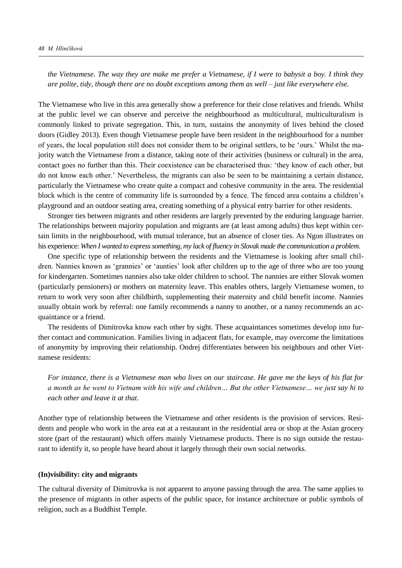*the Vietnamese. The way they are make me prefer a Vietnamese, if I were to babysit a boy. I think they are polite, tidy, though there are no doubt exceptions among them as well – just like everywhere else.* 

The Vietnamese who live in this area generally show a preference for their close relatives and friends. Whilst at the public level we can observe and perceive the neighbourhood as multicultural, multiculturalism is commonly linked to private segregation. This, in turn, sustains the anonymity of lives behind the closed doors (Gidley 2013). Even though Vietnamese people have been resident in the neighbourhood for a number of years, the local population still does not consider them to be original settlers, to be 'ours.' Whilst the majority watch the Vietnamese from a distance, taking note of their activities (business or cultural) in the area, contact goes no further than this. Their coexistence can be characterised thus: 'they know of each other, but do not know each other.' Nevertheless, the migrants can also be seen to be maintaining a certain distance, particularly the Vietnamese who create quite a compact and cohesive community in the area. The residential block which is the centre of community life is surrounded by a fence. The fenced area contains a children's playground and an outdoor seating area, creating something of a physical entry barrier for other residents.

Stronger ties between migrants and other residents are largely prevented by the enduring language barrier. The relationships between majority population and migrants are (at least among adults) thus kept within certain limits in the neighbourhood, with mutual tolerance, but an absence of closer ties. As Ngon illustrates on his experience: *When I wanted to express something, my lack of fluency in Slovak made the communication a problem*.

One specific type of relationship between the residents and the Vietnamese is looking after small children. Nannies known as 'grannies' or 'aunties' look after children up to the age of three who are too young for kindergarten. Sometimes nannies also take older children to school. The nannies are either Slovak women (particularly pensioners) or mothers on maternity leave. This enables others, largely Vietnamese women, to return to work very soon after childbirth, supplementing their maternity and child benefit income. Nannies usually obtain work by referral: one family recommends a nanny to another, or a nanny recommends an acquaintance or a friend.

The residents of Dimitrovka know each other by sight. These acquaintances sometimes develop into further contact and communication. Families living in adjacent flats, for example, may overcome the limitations of anonymity by improving their relationship. Ondrej differentiates between his neighbours and other Vietnamese residents:

*For instance, there is a Vietnamese man who lives on our staircase. He gave me the keys of his flat for a month as he went to ietnam with his wife and children… But the other ietnamese… we just say hi to each other and leave it at that*.

Another type of relationship between the Vietnamese and other residents is the provision of services. Residents and people who work in the area eat at a restaurant in the residential area or shop at the Asian grocery store (part of the restaurant) which offers mainly Vietnamese products. There is no sign outside the restaurant to identify it, so people have heard about it largely through their own social networks.

## **(In)visibility: city and migrants**

The cultural diversity of Dimitrovka is not apparent to anyone passing through the area. The same applies to the presence of migrants in other aspects of the public space, for instance architecture or public symbols of religion, such as a Buddhist Temple.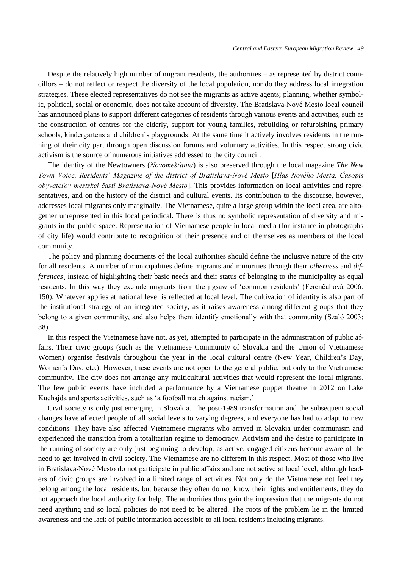Despite the relatively high number of migrant residents, the authorities – as represented by district councillors – do not reflect or respect the diversity of the local population, nor do they address local integration strategies. These elected representatives do not see the migrants as active agents; planning, whether symbolic, political, social or economic, does not take account of diversity. The Bratislava-Nové Mesto local council has announced plans to support different categories of residents through various events and activities, such as the construction of centres for the elderly, support for young families, rebuilding or refurbishing primary schools, kindergartens and children's playgrounds. At the same time it actively involves residents in the running of their city part through open discussion forums and voluntary activities. In this respect strong civic activism is the source of numerous initiatives addressed to the city council.

The identity of the Newtowners (*Novomešťania*) is also preserved through the local magazine *The New Town Voice. Residents' Magazine of the district of Bratislava-Nové Mesto [Hlas Nového Mesta. Časopis obyvateľov mestskej časti Bratislava-Nové Mesto*]. This provides information on local activities and representatives, and on the history of the district and cultural events. Its contribution to the discourse, however, addresses local migrants only marginally. The Vietnamese, quite a large group within the local area, are altogether unrepresented in this local periodical. There is thus no symbolic representation of diversity and migrants in the public space. Representation of Vietnamese people in local media (for instance in photographs of city life) would contribute to recognition of their presence and of themselves as members of the local community.

The policy and planning documents of the local authorities should define the inclusive nature of the city for all residents. A number of municipalities define migrants and minorities through their *otherness* and *differences*¸ instead of highlighting their basic needs and their status of belonging to the municipality as equal residents. In this way they exclude migrants from the jigsaw of 'common residents' (Ferenčuhová 2006: 150). Whatever applies at national level is reflected at local level. The cultivation of identity is also part of the institutional strategy of an integrated society, as it raises awareness among different groups that they belong to a given community, and also helps them identify emotionally with that community (Szaló 2003: 38).

In this respect the Vietnamese have not, as yet, attempted to participate in the administration of public affairs. Their civic groups (such as the Vietnamese Community of Slovakia and the Union of Vietnamese Women) organise festivals throughout the year in the local cultural centre (New Year, Children's Day, Women's Day, etc.). However, these events are not open to the general public, but only to the Vietnamese community. The city does not arrange any multicultural activities that would represent the local migrants. The few public events have included a performance by a Vietnamese puppet theatre in 2012 on Lake Kuchajda and sports activities, such as 'a football match against racism.'

Civil society is only just emerging in Slovakia. The post-1989 transformation and the subsequent social changes have affected people of all social levels to varying degrees, and everyone has had to adapt to new conditions. They have also affected Vietnamese migrants who arrived in Slovakia under communism and experienced the transition from a totalitarian regime to democracy. Activism and the desire to participate in the running of society are only just beginning to develop, as active, engaged citizens become aware of the need to get involved in civil society. The Vietnamese are no different in this respect. Most of those who live in Bratislava-Nové Mesto do not participate in public affairs and are not active at local level, although leaders of civic groups are involved in a limited range of activities. Not only do the Vietnamese not feel they belong among the local residents, but because they often do not know their rights and entitlements, they do not approach the local authority for help. The authorities thus gain the impression that the migrants do not need anything and so local policies do not need to be altered. The roots of the problem lie in the limited awareness and the lack of public information accessible to all local residents including migrants.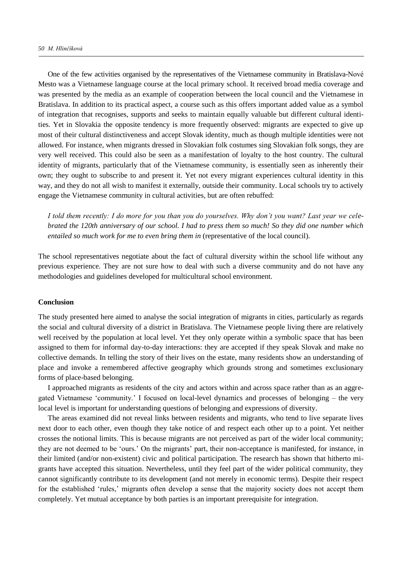One of the few activities organised by the representatives of the Vietnamese community in Bratislava-Nové Mesto was a Vietnamese language course at the local primary school. It received broad media coverage and was presented by the media as an example of cooperation between the local council and the Vietnamese in Bratislava. In addition to its practical aspect, a course such as this offers important added value as a symbol of integration that recognises, supports and seeks to maintain equally valuable but different cultural identities. Yet in Slovakia the opposite tendency is more frequently observed: migrants are expected to give up most of their cultural distinctiveness and accept Slovak identity, much as though multiple identities were not allowed. For instance, when migrants dressed in Slovakian folk costumes sing Slovakian folk songs, they are very well received. This could also be seen as a manifestation of loyalty to the host country. The cultural identity of migrants, particularly that of the Vietnamese community, is essentially seen as inherently their own; they ought to subscribe to and present it. Yet not every migrant experiences cultural identity in this way, and they do not all wish to manifest it externally, outside their community. Local schools try to actively engage the Vietnamese community in cultural activities, but are often rebuffed:

*I told them recently: I do more for you than you do yourselves. Why don't you want? Last year we celebrated the 120th anniversary of our school. I had to press them so much! So they did one number which entailed so much work for me to even bring them in (representative of the local council).* 

The school representatives negotiate about the fact of cultural diversity within the school life without any previous experience. They are not sure how to deal with such a diverse community and do not have any methodologies and guidelines developed for multicultural school environment.

#### **Conclusion**

The study presented here aimed to analyse the social integration of migrants in cities, particularly as regards the social and cultural diversity of a district in Bratislava. The Vietnamese people living there are relatively well received by the population at local level. Yet they only operate within a symbolic space that has been assigned to them for informal day-to-day interactions: they are accepted if they speak Slovak and make no collective demands. In telling the story of their lives on the estate, many residents show an understanding of place and invoke a remembered affective geography which grounds strong and sometimes exclusionary forms of place-based belonging.

I approached migrants as residents of the city and actors within and across space rather than as an aggregated Vietnamese 'community.' I focused on local-level dynamics and processes of belonging – the very local level is important for understanding questions of belonging and expressions of diversity.

The areas examined did not reveal links between residents and migrants, who tend to live separate lives next door to each other, even though they take notice of and respect each other up to a point. Yet neither crosses the notional limits. This is because migrants are not perceived as part of the wider local community; they are not deemed to be 'ours.' On the migrants' part, their non-acceptance is manifested, for instance, in their limited (and/or non-existent) civic and political participation. The research has shown that hitherto migrants have accepted this situation. Nevertheless, until they feel part of the wider political community, they cannot significantly contribute to its development (and not merely in economic terms). Despite their respect for the established 'rules,' migrants often develop a sense that the majority society does not accept them completely. Yet mutual acceptance by both parties is an important prerequisite for integration.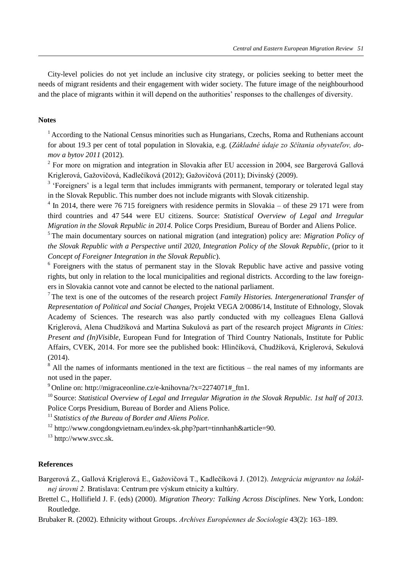City-level policies do not yet include an inclusive city strategy, or policies seeking to better meet the needs of migrant residents and their engagement with wider society. The future image of the neighbourhood and the place of migrants within it will depend on the authorities' responses to the challenges of diversity.

# **Notes**

<sup>1</sup> According to the National Census minorities such as Hungarians, Czechs, Roma and Ruthenians account for about 19.3 per cent of total population in Slovakia, e.g. (*Základné údaje zo Sčítania obyvateľov, domov a bytov 2011* (2012).

 $2^2$  For more on migration and integration in Slovakia after EU accession in 2004, see Bargerová Gallová Kriglerová, Gažovičová, Kadlečíková (2012); Gažovičová (2011); Divinský (2009).

<sup>3</sup> 'Foreigners' is a legal term that includes immigrants with permanent, temporary or tolerated legal stay in the Slovak Republic. This number does not include migrants with Slovak citizenship.

 $4 \text{ In } 2014$ , there were 76 715 foreigners with residence permits in Slovakia – of these 29 171 were from third countries and 47 544 were EU citizens. Source: *Statistical Overview of Legal and Irregular Migration in the Slovak Republic in 2014.* Police Corps Presidium, Bureau of Border and Aliens Police.

<sup>5</sup>The main documentary sources on national migration (and integration) policy are: *Migration Policy of the Slovak Republic with a Perspective until 2020*, *Integration Policy of the Slovak Republic*, (prior to it *Concept of Foreigner Integration in the Slovak Republic*).

<sup>6</sup> Foreigners with the status of permanent stay in the Slovak Republic have active and passive voting rights, but only in relation to the local municipalities and regional districts. According to the law foreigners in Slovakia cannot vote and cannot be elected to the national parliament.

<sup>7</sup>The text is one of the outcomes of the research project *Family Histories. Intergenerational Transfer of Representation of Political and Social Changes,* Projekt VEGA 2/0086/14, Institute of Ethnology, Slovak Academy of Sciences. The research was also partly conducted with my colleagues Elena Gallová Kriglerová, Alena Chudžíková and Martina Sukulová as part of the research project *Migrants in Cities: Present and (In)Visible*, European Fund for Integration of Third Country Nationals, Institute for Public Affairs, CVEK, 2014. For more see the published book: Hlinčíková, Chudžíková, Kriglerová, Sekulová (2014).

 $8$  All the names of informants mentioned in the text are fictitious – the real names of my informants are not used in the paper.

<sup>9</sup> Online on: http://migraceonline.cz/e-knihovna/?x=2274071# ftn1.

<sup>10</sup> Source: *Statistical Overview of Legal and Irregular Migration in the Slovak Republic. 1st half of 2013.* Police Corps Presidium, Bureau of Border and Aliens Police.

<sup>11</sup>*Statistics of the Bureau of Border and Aliens Police.*

<sup>12</sup> http://www.congdongvietnam.eu/index-sk.php?part=tinnhanh&article=90.

<sup>13</sup> http://www.svcc.sk.

### **References**

Bargerová Z., Gallová Kriglerová E., Gažovičová T., Kadlečíková J. (2012). *Integrácia migrantov na lokálnej úrovni 2.* Bratislava: Centrum pre výskum etnicity a kultúry.

Brettel C., Hollifield J. F. (eds) (2000). *Migration Theory: Talking Across Disciplines.* New York, London: Routledge.

Brubaker R. (2002). Ethnicity without Groups. *Archives Européennes de Sociologie* 43(2): 163–189.